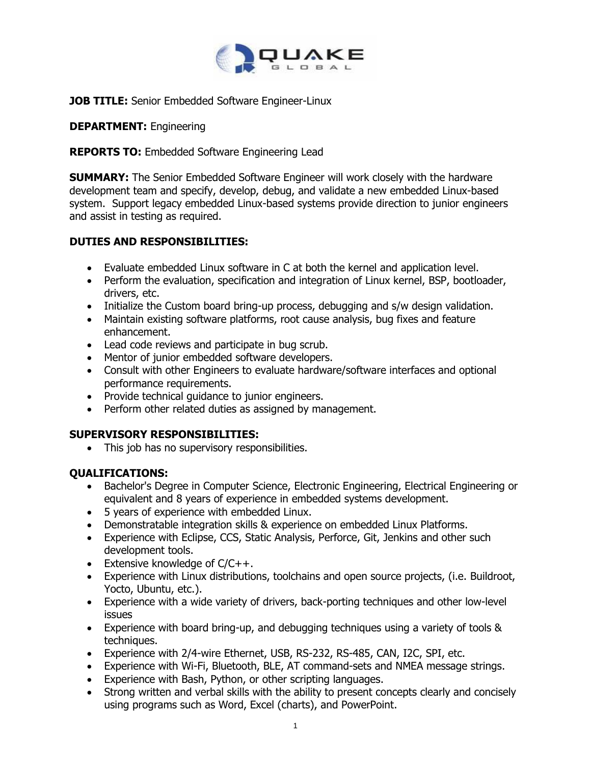

**JOB TITLE:** Senior Embedded Software Engineer-Linux

**DEPARTMENT:** Engineering

**REPORTS TO:** Embedded Software Engineering Lead

**SUMMARY:** The Senior Embedded Software Engineer will work closely with the hardware development team and specify, develop, debug, and validate a new embedded Linux-based system. Support legacy embedded Linux-based systems provide direction to junior engineers and assist in testing as required.

# **DUTIES AND RESPONSIBILITIES:**

- Evaluate embedded Linux software in C at both the kernel and application level.
- Perform the evaluation, specification and integration of Linux kernel, BSP, bootloader, drivers, etc.
- Initialize the Custom board bring-up process, debugging and s/w design validation.
- Maintain existing software platforms, root cause analysis, bug fixes and feature enhancement.
- Lead code reviews and participate in bug scrub.
- Mentor of junior embedded software developers.
- Consult with other Engineers to evaluate hardware/software interfaces and optional performance requirements.
- Provide technical guidance to junior engineers.
- Perform other related duties as assigned by management.

## **SUPERVISORY RESPONSIBILITIES:**

• This job has no supervisory responsibilities.

## **QUALIFICATIONS:**

- Bachelor's Degree in Computer Science, Electronic Engineering, Electrical Engineering or equivalent and 8 years of experience in embedded systems development.
- 5 years of experience with embedded Linux.
- Demonstratable integration skills & experience on embedded Linux Platforms.
- Experience with Eclipse, CCS, Static Analysis, Perforce, Git, Jenkins and other such development tools.
- Extensive knowledge of C/C++.
- Experience with Linux distributions, toolchains and open source projects, (i.e. Buildroot, Yocto, Ubuntu, etc.).
- Experience with a wide variety of drivers, back-porting techniques and other low-level issues
- Experience with board bring-up, and debugging techniques using a variety of tools & techniques.
- Experience with 2/4-wire Ethernet, USB, RS-232, RS-485, CAN, I2C, SPI, etc.
- Experience with Wi-Fi, Bluetooth, BLE, AT command-sets and NMEA message strings.
- Experience with Bash, Python, or other scripting languages.
- Strong written and verbal skills with the ability to present concepts clearly and concisely using programs such as Word, Excel (charts), and PowerPoint.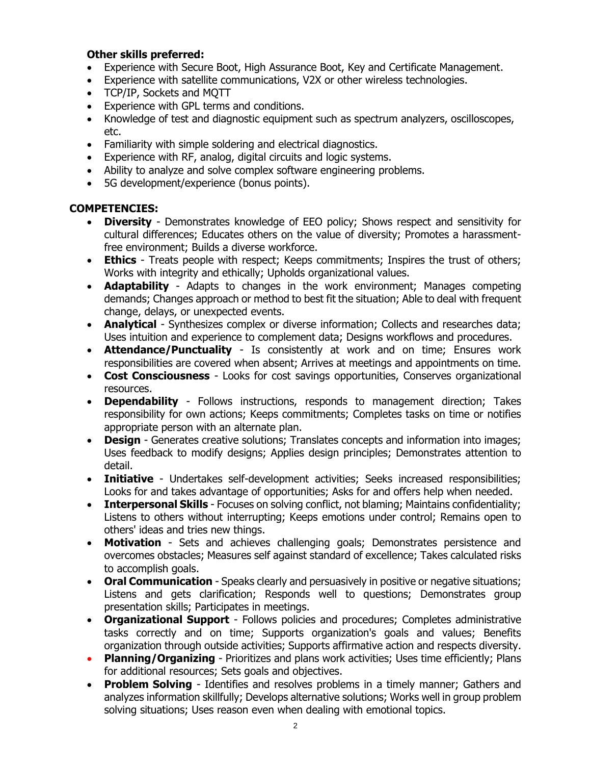#### **Other skills preferred:**

- Experience with Secure Boot, High Assurance Boot, Key and Certificate Management.
- Experience with satellite communications, V2X or other wireless technologies.
- TCP/IP, Sockets and MQTT
- Experience with GPL terms and conditions.
- Knowledge of test and diagnostic equipment such as spectrum analyzers, oscilloscopes, etc.
- Familiarity with simple soldering and electrical diagnostics.
- Experience with RF, analog, digital circuits and logic systems.
- Ability to analyze and solve complex software engineering problems.
- 5G development/experience (bonus points).

### **COMPETENCIES:**

- **Diversity** Demonstrates knowledge of EEO policy; Shows respect and sensitivity for cultural differences; Educates others on the value of diversity; Promotes a harassmentfree environment; Builds a diverse workforce.
- **Ethics** Treats people with respect; Keeps commitments; Inspires the trust of others; Works with integrity and ethically; Upholds organizational values.
- **Adaptability** Adapts to changes in the work environment; Manages competing demands; Changes approach or method to best fit the situation; Able to deal with frequent change, delays, or unexpected events.
- **Analytical** Synthesizes complex or diverse information; Collects and researches data; Uses intuition and experience to complement data; Designs workflows and procedures.
- **Attendance/Punctuality** Is consistently at work and on time; Ensures work responsibilities are covered when absent; Arrives at meetings and appointments on time.
- **Cost Consciousness** Looks for cost savings opportunities, Conserves organizational resources.
- **Dependability** Follows instructions, responds to management direction; Takes responsibility for own actions; Keeps commitments; Completes tasks on time or notifies appropriate person with an alternate plan.
- **Design** Generates creative solutions; Translates concepts and information into images; Uses feedback to modify designs; Applies design principles; Demonstrates attention to detail.
- **Initiative** Undertakes self-development activities; Seeks increased responsibilities; Looks for and takes advantage of opportunities; Asks for and offers help when needed.
- **Interpersonal Skills** Focuses on solving conflict, not blaming; Maintains confidentiality; Listens to others without interrupting; Keeps emotions under control; Remains open to others' ideas and tries new things.
- **Motivation** Sets and achieves challenging goals; Demonstrates persistence and overcomes obstacles; Measures self against standard of excellence; Takes calculated risks to accomplish goals.
- **Oral Communication** Speaks clearly and persuasively in positive or negative situations; Listens and gets clarification; Responds well to questions; Demonstrates group presentation skills; Participates in meetings.
- **Organizational Support** Follows policies and procedures; Completes administrative tasks correctly and on time; Supports organization's goals and values; Benefits organization through outside activities; Supports affirmative action and respects diversity.
- **Planning/Organizing** Prioritizes and plans work activities; Uses time efficiently; Plans for additional resources; Sets goals and objectives.
- **Problem Solving** Identifies and resolves problems in a timely manner; Gathers and analyzes information skillfully; Develops alternative solutions; Works well in group problem solving situations; Uses reason even when dealing with emotional topics.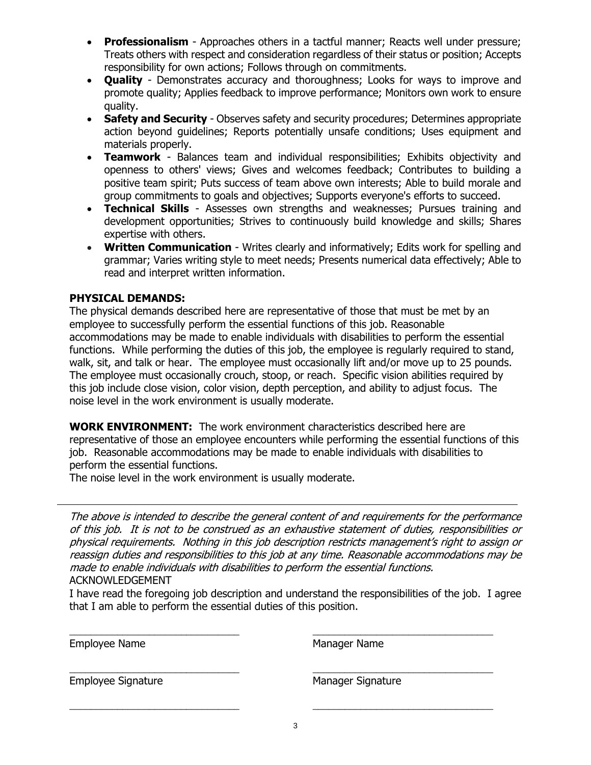- **Professionalism** Approaches others in a tactful manner; Reacts well under pressure; Treats others with respect and consideration regardless of their status or position; Accepts responsibility for own actions; Follows through on commitments.
- **Quality** Demonstrates accuracy and thoroughness; Looks for ways to improve and promote quality; Applies feedback to improve performance; Monitors own work to ensure quality.
- **Safety and Security** Observes safety and security procedures; Determines appropriate action beyond guidelines; Reports potentially unsafe conditions; Uses equipment and materials properly.
- **Teamwork** Balances team and individual responsibilities; Exhibits objectivity and openness to others' views; Gives and welcomes feedback; Contributes to building a positive team spirit; Puts success of team above own interests; Able to build morale and group commitments to goals and objectives; Supports everyone's efforts to succeed.
- **Technical Skills** Assesses own strengths and weaknesses; Pursues training and development opportunities; Strives to continuously build knowledge and skills; Shares expertise with others.
- **Written Communication** Writes clearly and informatively; Edits work for spelling and grammar; Varies writing style to meet needs; Presents numerical data effectively; Able to read and interpret written information.

## **PHYSICAL DEMANDS:**

The physical demands described here are representative of those that must be met by an employee to successfully perform the essential functions of this job. Reasonable accommodations may be made to enable individuals with disabilities to perform the essential functions. While performing the duties of this job, the employee is regularly required to stand, walk, sit, and talk or hear. The employee must occasionally lift and/or move up to 25 pounds. The employee must occasionally crouch, stoop, or reach. Specific vision abilities required by this job include close vision, color vision, depth perception, and ability to adjust focus. The noise level in the work environment is usually moderate.

**WORK ENVIRONMENT:** The work environment characteristics described here are representative of those an employee encounters while performing the essential functions of this job. Reasonable accommodations may be made to enable individuals with disabilities to perform the essential functions.

The noise level in the work environment is usually moderate.

The above is intended to describe the general content of and requirements for the performance of this job. It is not to be construed as an exhaustive statement of duties, responsibilities or physical requirements. Nothing in this job description restricts management's right to assign or reassign duties and responsibilities to this job at any time. Reasonable accommodations may be made to enable individuals with disabilities to perform the essential functions. ACKNOWLEDGEMENT

I have read the foregoing job description and understand the responsibilities of the job. I agree that I am able to perform the essential duties of this position.

\_\_\_\_\_\_\_\_\_\_\_\_\_\_\_\_\_\_\_\_\_\_\_\_\_\_\_\_\_\_\_\_ \_\_\_\_\_\_\_\_\_\_\_\_\_\_\_\_\_\_\_\_\_\_\_\_\_\_\_\_\_\_\_\_\_\_

\_\_\_\_\_\_\_\_\_\_\_\_\_\_\_\_\_\_\_\_\_\_\_\_\_\_\_\_\_\_\_\_ \_\_\_\_\_\_\_\_\_\_\_\_\_\_\_\_\_\_\_\_\_\_\_\_\_\_\_\_\_\_\_\_\_\_

Employee Name Manager Name

\_\_\_\_\_\_\_\_\_\_\_\_\_\_\_\_\_\_\_\_\_\_\_\_\_\_\_\_\_\_\_\_ \_\_\_\_\_\_\_\_\_\_\_\_\_\_\_\_\_\_\_\_\_\_\_\_\_\_\_\_\_\_\_\_\_\_ Employee Signature Manager Signature